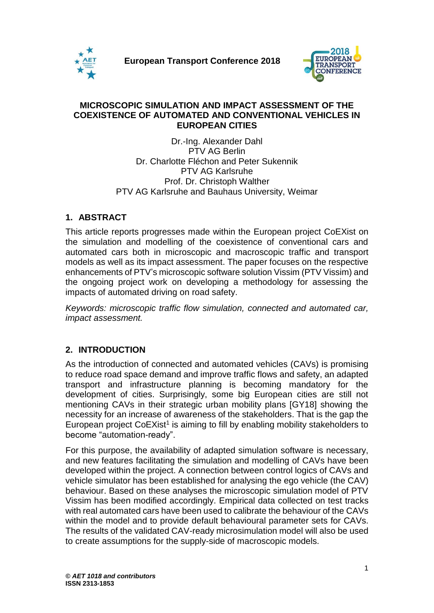



#### **MICROSCOPIC SIMULATION AND IMPACT ASSESSMENT OF THE COEXISTENCE OF AUTOMATED AND CONVENTIONAL VEHICLES IN EUROPEAN CITIES**

Dr.-Ing. Alexander Dahl PTV AG Berlin Dr. Charlotte Fléchon and Peter Sukennik PTV AG Karlsruhe Prof. Dr. Christoph Walther PTV AG Karlsruhe and Bauhaus University, Weimar

# **1. ABSTRACT**

This article reports progresses made within the European project CoEXist on the simulation and modelling of the coexistence of conventional cars and automated cars both in microscopic and macroscopic traffic and transport models as well as its impact assessment. The paper focuses on the respective enhancements of PTV's microscopic software solution Vissim (PTV Vissim) and the ongoing project work on developing a methodology for assessing the impacts of automated driving on road safety.

*Keywords: microscopic traffic flow simulation, connected and automated car, impact assessment.*

### **2. INTRODUCTION**

As the introduction of connected and automated vehicles (CAVs) is promising to reduce road space demand and improve traffic flows and safety, an adapted transport and infrastructure planning is becoming mandatory for the development of cities. Surprisingly, some big European cities are still not mentioning CAVs in their strategic urban mobility plans [GY18] showing the necessity for an increase of awareness of the stakeholders. That is the gap the European project CoEXist<sup>1</sup> is aiming to fill by enabling mobility stakeholders to become "automation-ready".

For this purpose, the availability of adapted simulation software is necessary, and new features facilitating the simulation and modelling of CAVs have been developed within the project. A connection between control logics of CAVs and vehicle simulator has been established for analysing the ego vehicle (the CAV) behaviour. Based on these analyses the microscopic simulation model of PTV Vissim has been modified accordingly. Empirical data collected on test tracks with real automated cars have been used to calibrate the behaviour of the CAVs within the model and to provide default behavioural parameter sets for CAVs. The results of the validated CAV-ready microsimulation model will also be used to create assumptions for the supply-side of macroscopic models.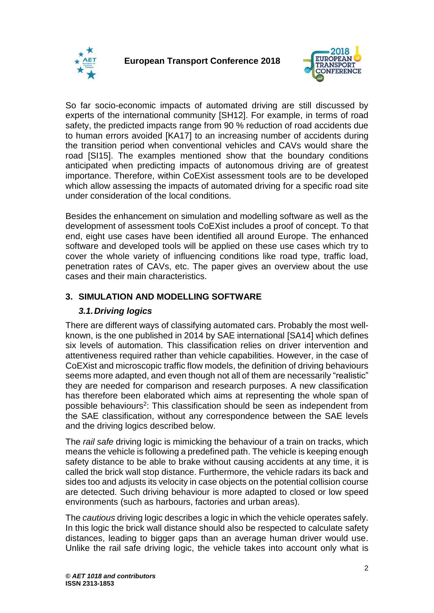



So far socio-economic impacts of automated driving are still discussed by experts of the international community [SH12]. For example, in terms of road safety, the predicted impacts range from 90 % reduction of road accidents due to human errors avoided [KA17] to an increasing number of accidents during the transition period when conventional vehicles and CAVs would share the road [SI15]. The examples mentioned show that the boundary conditions anticipated when predicting impacts of autonomous driving are of greatest importance. Therefore, within CoEXist assessment tools are to be developed which allow assessing the impacts of automated driving for a specific road site under consideration of the local conditions.

Besides the enhancement on simulation and modelling software as well as the development of assessment tools CoEXist includes a proof of concept. To that end, eight use cases have been identified all around Europe. The enhanced software and developed tools will be applied on these use cases which try to cover the whole variety of influencing conditions like road type, traffic load, penetration rates of CAVs, etc. The paper gives an overview about the use cases and their main characteristics.

# **3. SIMULATION AND MODELLING SOFTWARE**

## *3.1.Driving logics*

<span id="page-1-0"></span>There are different ways of classifying automated cars. Probably the most wellknown, is the one published in 2014 by SAE international [SA14] which defines six levels of automation. This classification relies on driver intervention and attentiveness required rather than vehicle capabilities. However, in the case of CoEXist and microscopic traffic flow models, the definition of driving behaviours seems more adapted, and even though not all of them are necessarily "realistic" they are needed for comparison and research purposes. A new classification has therefore been elaborated which aims at representing the whole span of possible behaviours<sup>2</sup>: This classification should be seen as independent from the SAE classification, without any correspondence between the SAE levels and the driving logics described below.

The *rail safe* driving logic is mimicking the behaviour of a train on tracks, which means the vehicle is following a predefined path. The vehicle is keeping enough safety distance to be able to brake without causing accidents at any time, it is called the brick wall stop distance. Furthermore, the vehicle radars its back and sides too and adjusts its velocity in case objects on the potential collision course are detected. Such driving behaviour is more adapted to closed or low speed environments (such as harbours, factories and urban areas).

The *cautious* driving logic describes a logic in which the vehicle operates safely. In this logic the brick wall distance should also be respected to calculate safety distances, leading to bigger gaps than an average human driver would use. Unlike the rail safe driving logic, the vehicle takes into account only what is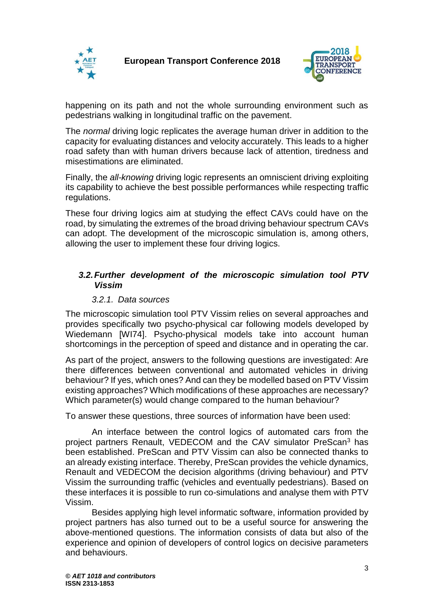



happening on its path and not the whole surrounding environment such as pedestrians walking in longitudinal traffic on the pavement.

The *normal* driving logic replicates the average human driver in addition to the capacity for evaluating distances and velocity accurately. This leads to a higher road safety than with human drivers because lack of attention, tiredness and misestimations are eliminated.

Finally, the *all-knowing* driving logic represents an omniscient driving exploiting its capability to achieve the best possible performances while respecting traffic regulations.

These four driving logics aim at studying the effect CAVs could have on the road, by simulating the extremes of the broad driving behaviour spectrum CAVs can adopt. The development of the microscopic simulation is, among others, allowing the user to implement these four driving logics.

#### *3.2.Further development of the microscopic simulation tool PTV Vissim*

#### *3.2.1. Data sources*

The microscopic simulation tool PTV Vissim relies on several approaches and provides specifically two psycho-physical car following models developed by Wiedemann [WI74]. Psycho-physical models take into account human shortcomings in the perception of speed and distance and in operating the car.

As part of the project, answers to the following questions are investigated: Are there differences between conventional and automated vehicles in driving behaviour? If yes, which ones? And can they be modelled based on PTV Vissim existing approaches? Which modifications of these approaches are necessary? Which parameter(s) would change compared to the human behaviour?

To answer these questions, three sources of information have been used:

An interface between the control logics of automated cars from the project partners Renault, VEDECOM and the CAV simulator PreScan<sup>3</sup> has been established. PreScan and PTV Vissim can also be connected thanks to an already existing interface. Thereby, PreScan provides the vehicle dynamics, Renault and VEDECOM the decision algorithms (driving behaviour) and PTV Vissim the surrounding traffic (vehicles and eventually pedestrians). Based on these interfaces it is possible to run co-simulations and analyse them with PTV Vissim.

Besides applying high level informatic software, information provided by project partners has also turned out to be a useful source for answering the above-mentioned questions. The information consists of data but also of the experience and opinion of developers of control logics on decisive parameters and behaviours.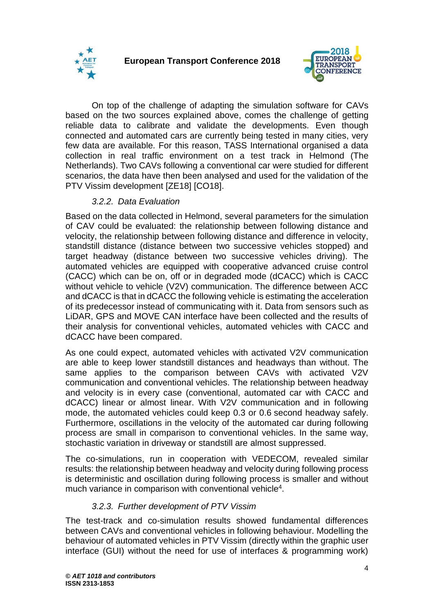



On top of the challenge of adapting the simulation software for CAVs based on the two sources explained above, comes the challenge of getting reliable data to calibrate and validate the developments. Even though connected and automated cars are currently being tested in many cities, very few data are available. For this reason, TASS International organised a data collection in real traffic environment on a test track in Helmond (The Netherlands). Two CAVs following a conventional car were studied for different scenarios, the data have then been analysed and used for the validation of the PTV Vissim development [ZE18] [CO18].

### *3.2.2. Data Evaluation*

Based on the data collected in Helmond, several parameters for the simulation of CAV could be evaluated: the relationship between following distance and velocity, the relationship between following distance and difference in velocity, standstill distance (distance between two successive vehicles stopped) and target headway (distance between two successive vehicles driving). The automated vehicles are equipped with cooperative advanced cruise control (CACC) which can be on, off or in degraded mode (dCACC) which is CACC without vehicle to vehicle (V2V) communication. The difference between ACC and dCACC is that in dCACC the following vehicle is estimating the acceleration of its predecessor instead of communicating with it. Data from sensors such as LiDAR, GPS and MOVE CAN interface have been collected and the results of their analysis for conventional vehicles, automated vehicles with CACC and dCACC have been compared.

As one could expect, automated vehicles with activated V2V communication are able to keep lower standstill distances and headways than without. The same applies to the comparison between CAVs with activated V2V communication and conventional vehicles. The relationship between headway and velocity is in every case (conventional, automated car with CACC and dCACC) linear or almost linear. With V2V communication and in following mode, the automated vehicles could keep 0.3 or 0.6 second headway safely. Furthermore, oscillations in the velocity of the automated car during following process are small in comparison to conventional vehicles. In the same way, stochastic variation in driveway or standstill are almost suppressed.

The co-simulations, run in cooperation with VEDECOM, revealed similar results: the relationship between headway and velocity during following process is deterministic and oscillation during following process is smaller and without much variance in comparison with conventional vehicle<sup>4</sup>.

### *3.2.3. Further development of PTV Vissim*

The test-track and co-simulation results showed fundamental differences between CAVs and conventional vehicles in following behaviour. Modelling the behaviour of automated vehicles in PTV Vissim (directly within the graphic user interface (GUI) without the need for use of interfaces & programming work)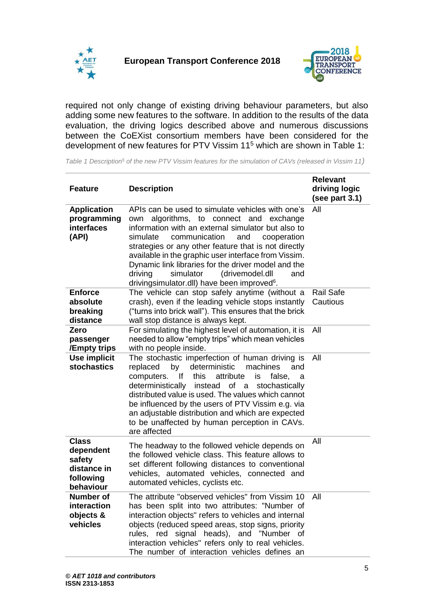



required not only change of existing driving behaviour parameters, but also adding some new features to the software. In addition to the results of the data evaluation, the driving logics described above and numerous discussions between the CoEXist consortium members have been considered for the development of new features for PTV Vissim 11<sup>5</sup> which are shown in [Table 1:](#page-4-0)

<span id="page-4-0"></span>*Table 1 Description<sup>5</sup> of the new PTV Vissim features for the simulation of CAVs (released in Vissim 11)*

| <b>Feature</b>                                                               | <b>Description</b>                                                                                                                                                                                                                                                                                                                                                                                                                                                                          | <b>Relevant</b><br>driving logic<br>(see part 3.1) |
|------------------------------------------------------------------------------|---------------------------------------------------------------------------------------------------------------------------------------------------------------------------------------------------------------------------------------------------------------------------------------------------------------------------------------------------------------------------------------------------------------------------------------------------------------------------------------------|----------------------------------------------------|
| <b>Application</b><br>programming<br>interfaces<br>(API)                     | APIs can be used to simulate vehicles with one's<br>algorithms, to connect and exchange<br>own<br>information with an external simulator but also to<br>simulate<br>communication<br>and<br>cooperation<br>strategies or any other feature that is not directly<br>available in the graphic user interface from Vissim.<br>Dynamic link libraries for the driver model and the<br>driving<br>simulator<br>(drivemodel.dll<br>and<br>drivingsimulator.dll) have been improved <sup>6</sup> . | All                                                |
| <b>Enforce</b><br>absolute                                                   | The vehicle can stop safely anytime (without a                                                                                                                                                                                                                                                                                                                                                                                                                                              | <b>Rail Safe</b>                                   |
| breaking                                                                     | crash), even if the leading vehicle stops instantly<br>("turns into brick wall"). This ensures that the brick                                                                                                                                                                                                                                                                                                                                                                               | Cautious                                           |
| distance                                                                     | wall stop distance is always kept.                                                                                                                                                                                                                                                                                                                                                                                                                                                          |                                                    |
| Zero<br>passenger<br>/Empty trips                                            | For simulating the highest level of automation, it is<br>needed to allow "empty trips" which mean vehicles<br>with no people inside.                                                                                                                                                                                                                                                                                                                                                        | All                                                |
| <b>Use implicit</b><br><b>stochastics</b>                                    | The stochastic imperfection of human driving is<br>by<br>deterministic<br>replaced<br>machines<br>and<br>lf<br>this<br>attribute<br>false,<br>computers.<br>is<br>a<br>deterministically<br>instead<br>of a<br>stochastically<br>distributed value is used. The values which cannot<br>be influenced by the users of PTV Vissim e.g. via<br>an adjustable distribution and which are expected<br>to be unaffected by human perception in CAVs.<br>are affected                              | All                                                |
| <b>Class</b><br>dependent<br>safety<br>distance in<br>following<br>behaviour | The headway to the followed vehicle depends on<br>the followed vehicle class. This feature allows to<br>set different following distances to conventional<br>vehicles, automated vehicles, connected and<br>automated vehicles, cyclists etc.                                                                                                                                                                                                                                               | All                                                |
| Number of<br>interaction<br>objects &<br>vehicles                            | The attribute "observed vehicles" from Vissim 10<br>has been split into two attributes: "Number of<br>interaction objects" refers to vehicles and internal<br>objects (reduced speed areas, stop signs, priority<br>rules, red signal heads), and "Number of<br>interaction vehicles" refers only to real vehicles.<br>The number of interaction vehicles defines an                                                                                                                        | All                                                |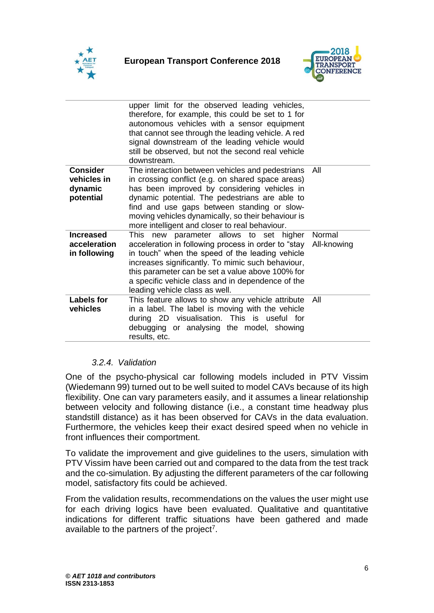



|                                                        | upper limit for the observed leading vehicles,<br>therefore, for example, this could be set to 1 for<br>autonomous vehicles with a sensor equipment<br>that cannot see through the leading vehicle. A red<br>signal downstream of the leading vehicle would<br>still be observed, but not the second real vehicle<br>downstream.                               |                       |
|--------------------------------------------------------|----------------------------------------------------------------------------------------------------------------------------------------------------------------------------------------------------------------------------------------------------------------------------------------------------------------------------------------------------------------|-----------------------|
| <b>Consider</b><br>vehicles in<br>dynamic<br>potential | The interaction between vehicles and pedestrians<br>in crossing conflict (e.g. on shared space areas)<br>has been improved by considering vehicles in<br>dynamic potential. The pedestrians are able to<br>find and use gaps between standing or slow-<br>moving vehicles dynamically, so their behaviour is<br>more intelligent and closer to real behaviour. | All                   |
| <b>Increased</b><br>acceleration<br>in following       | This new parameter allows to set higher<br>acceleration in following process in order to "stay<br>in touch" when the speed of the leading vehicle<br>increases significantly. To mimic such behaviour,<br>this parameter can be set a value above 100% for<br>a specific vehicle class and in dependence of the<br>leading vehicle class as well.              | Normal<br>All-knowing |
| Labels for<br>vehicles                                 | This feature allows to show any vehicle attribute<br>in a label. The label is moving with the vehicle<br>during 2D visualisation. This is useful for<br>debugging or analysing the model, showing<br>results, etc.                                                                                                                                             | All                   |

### *3.2.4. Validation*

One of the psycho-physical car following models included in PTV Vissim (Wiedemann 99) turned out to be well suited to model CAVs because of its high flexibility. One can vary parameters easily, and it assumes a linear relationship between velocity and following distance (i.e., a constant time headway plus standstill distance) as it has been observed for CAVs in the data evaluation. Furthermore, the vehicles keep their exact desired speed when no vehicle in front influences their comportment.

To validate the improvement and give guidelines to the users, simulation with PTV Vissim have been carried out and compared to the data from the test track and the co-simulation. By adjusting the different parameters of the car following model, satisfactory fits could be achieved.

From the validation results, recommendations on the values the user might use for each driving logics have been evaluated. Qualitative and quantitative indications for different traffic situations have been gathered and made available to the partners of the project<sup>7</sup>.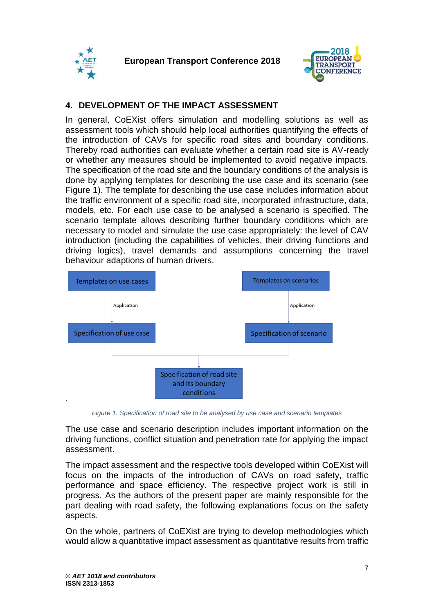



## **4. DEVELOPMENT OF THE IMPACT ASSESSMENT**

In general, CoEXist offers simulation and modelling solutions as well as assessment tools which should help local authorities quantifying the effects of the introduction of CAVs for specific road sites and boundary conditions. Thereby road authorities can evaluate whether a certain road site is AV-ready or whether any measures should be implemented to avoid negative impacts. The specification of the road site and the boundary conditions of the analysis is done by applying templates for describing the use case and its scenario (see [Figure 1\)](#page-6-0). The template for describing the use case includes information about the traffic environment of a specific road site, incorporated infrastructure, data, models, etc. For each use case to be analysed a scenario is specified. The scenario template allows describing further boundary conditions which are necessary to model and simulate the use case appropriately: the level of CAV introduction (including the capabilities of vehicles, their driving functions and driving logics), travel demands and assumptions concerning the travel behaviour adaptions of human drivers.



*Figure 1: Specification of road site to be analysed by use case and scenario templates*

<span id="page-6-0"></span>The use case and scenario description includes important information on the driving functions, conflict situation and penetration rate for applying the impact assessment.

The impact assessment and the respective tools developed within CoEXist will focus on the impacts of the introduction of CAVs on road safety, traffic performance and space efficiency. The respective project work is still in progress. As the authors of the present paper are mainly responsible for the part dealing with road safety, the following explanations focus on the safety aspects.

On the whole, partners of CoEXist are trying to develop methodologies which would allow a quantitative impact assessment as quantitative results from traffic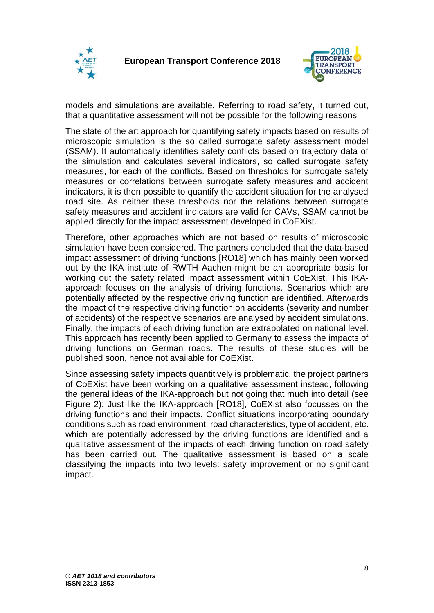



models and simulations are available. Referring to road safety, it turned out, that a quantitative assessment will not be possible for the following reasons:

The state of the art approach for quantifying safety impacts based on results of microscopic simulation is the so called surrogate safety assessment model (SSAM). It automatically identifies safety conflicts based on trajectory data of the simulation and calculates several indicators, so called surrogate safety measures, for each of the conflicts. Based on thresholds for surrogate safety measures or correlations between surrogate safety measures and accident indicators, it is then possible to quantify the accident situation for the analysed road site. As neither these thresholds nor the relations between surrogate safety measures and accident indicators are valid for CAVs, SSAM cannot be applied directly for the impact assessment developed in CoEXist.

Therefore, other approaches which are not based on results of microscopic simulation have been considered. The partners concluded that the data-based impact assessment of driving functions [RO18] which has mainly been worked out by the IKA institute of RWTH Aachen might be an appropriate basis for working out the safety related impact assessment within CoEXist. This IKAapproach focuses on the analysis of driving functions. Scenarios which are potentially affected by the respective driving function are identified. Afterwards the impact of the respective driving function on accidents (severity and number of accidents) of the respective scenarios are analysed by accident simulations. Finally, the impacts of each driving function are extrapolated on national level. This approach has recently been applied to Germany to assess the impacts of driving functions on German roads. The results of these studies will be published soon, hence not available for CoEXist.

Since assessing safety impacts quantitively is problematic, the project partners of CoEXist have been working on a qualitative assessment instead, following the general ideas of the IKA-approach but not going that much into detail (see [Figure 2\)](#page-8-0): Just like the IKA-approach [RO18], CoEXist also focusses on the driving functions and their impacts. Conflict situations incorporating boundary conditions such as road environment, road characteristics, type of accident, etc. which are potentially addressed by the driving functions are identified and a qualitative assessment of the impacts of each driving function on road safety has been carried out. The qualitative assessment is based on a scale classifying the impacts into two levels: safety improvement or no significant impact.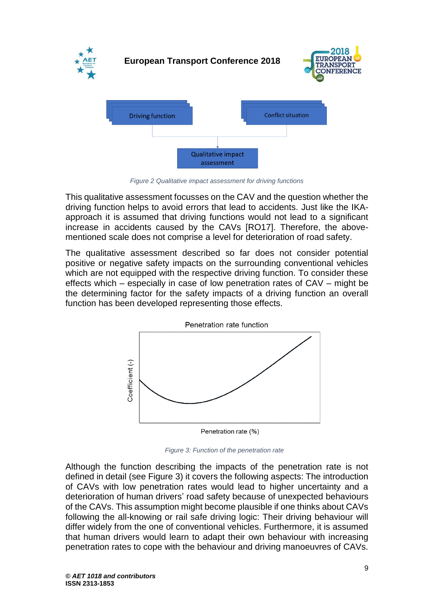

*Figure 2 Qualitative impact assessment for driving functions*

<span id="page-8-0"></span>This qualitative assessment focusses on the CAV and the question whether the driving function helps to avoid errors that lead to accidents. Just like the IKAapproach it is assumed that driving functions would not lead to a significant increase in accidents caused by the CAVs [RO17]. Therefore, the abovementioned scale does not comprise a level for deterioration of road safety.

The qualitative assessment described so far does not consider potential positive or negative safety impacts on the surrounding conventional vehicles which are not equipped with the respective driving function. To consider these effects which – especially in case of low penetration rates of CAV – might be the determining factor for the safety impacts of a driving function an overall function has been developed representing those effects.



<span id="page-8-1"></span>*Figure 3: Function of the penetration rate*

Although the function describing the impacts of the penetration rate is not defined in detail (see [Figure 3\)](#page-8-1) it covers the following aspects: The introduction of CAVs with low penetration rates would lead to higher uncertainty and a deterioration of human drivers' road safety because of unexpected behaviours of the CAVs. This assumption might become plausible if one thinks about CAVs following the all-knowing or rail safe driving logic: Their driving behaviour will differ widely from the one of conventional vehicles. Furthermore, it is assumed that human drivers would learn to adapt their own behaviour with increasing penetration rates to cope with the behaviour and driving manoeuvres of CAVs.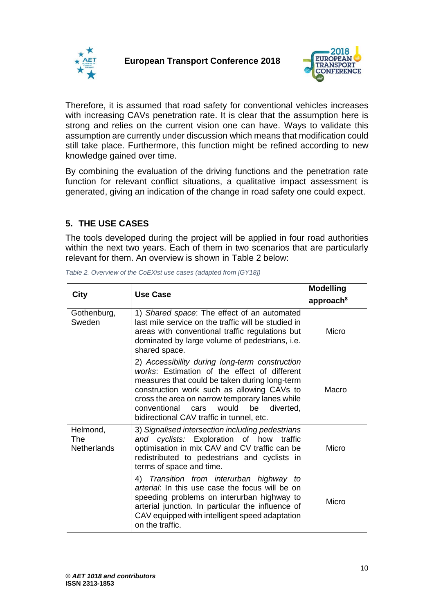



Therefore, it is assumed that road safety for conventional vehicles increases with increasing CAVs penetration rate. It is clear that the assumption here is strong and relies on the current vision one can have. Ways to validate this assumption are currently under discussion which means that modification could still take place. Furthermore, this function might be refined according to new knowledge gained over time.

By combining the evaluation of the driving functions and the penetration rate function for relevant conflict situations, a qualitative impact assessment is generated, giving an indication of the change in road safety one could expect.

# **5. THE USE CASES**

The tools developed during the project will be applied in four road authorities within the next two years. Each of them in two scenarios that are particularly relevant for them. An overview is shown in [Table 2](#page-9-0) below:

|                                       | Use Case                                                                                                                                                                                                                                                                                                                                         | <b>Modelling</b>      |
|---------------------------------------|--------------------------------------------------------------------------------------------------------------------------------------------------------------------------------------------------------------------------------------------------------------------------------------------------------------------------------------------------|-----------------------|
| City                                  |                                                                                                                                                                                                                                                                                                                                                  | approach <sup>8</sup> |
| Gothenburg,<br>Sweden                 | 1) Shared space: The effect of an automated<br>last mile service on the traffic will be studied in<br>areas with conventional traffic regulations but<br>dominated by large volume of pedestrians, i.e.<br>shared space.                                                                                                                         | Micro                 |
|                                       | 2) Accessibility during long-term construction<br>works: Estimation of the effect of different<br>measures that could be taken during long-term<br>construction work such as allowing CAVs to<br>cross the area on narrow temporary lanes while<br>conventional<br>would<br>be<br>diverted,<br>cars<br>bidirectional CAV traffic in tunnel, etc. | Macro                 |
| Helmond,<br>The<br><b>Netherlands</b> | 3) Signalised intersection including pedestrians<br>and cyclists: Exploration of how<br>traffic<br>optimisation in mix CAV and CV traffic can be<br>redistributed to pedestrians and cyclists in<br>terms of space and time.                                                                                                                     | Micro                 |
|                                       | 4) Transition from interurban highway to<br>arterial: In this use case the focus will be on<br>speeding problems on interurban highway to<br>arterial junction. In particular the influence of<br>CAV equipped with intelligent speed adaptation<br>on the traffic.                                                                              | Micro                 |

<span id="page-9-0"></span>*Table 2. Overview of the CoEXist use cases (adapted from [GY18])*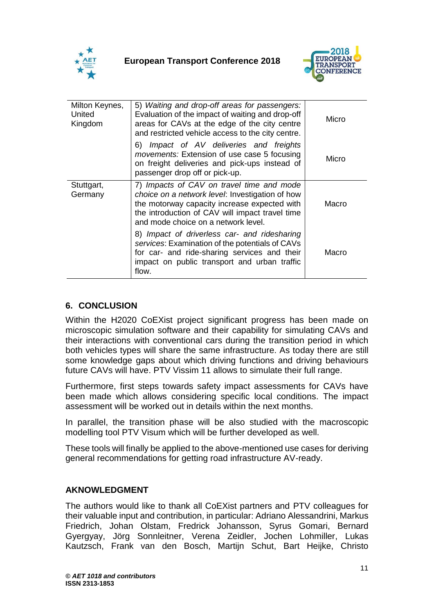



| Milton Keynes,<br>United<br>Kingdom | 5) Waiting and drop-off areas for passengers:<br>Evaluation of the impact of waiting and drop-off<br>areas for CAVs at the edge of the city centre<br>and restricted vehicle access to the city centre.                                | Micro |
|-------------------------------------|----------------------------------------------------------------------------------------------------------------------------------------------------------------------------------------------------------------------------------------|-------|
|                                     | Impact of AV deliveries and freights<br>6)<br><i>movements:</i> Extension of use case 5 focusing<br>on freight deliveries and pick-ups instead of<br>passenger drop off or pick-up.                                                    | Micro |
| Stuttgart,<br>Germany               | 7) Impacts of CAV on travel time and mode<br>choice on a network level: Investigation of how<br>the motorway capacity increase expected with<br>the introduction of CAV will impact travel time<br>and mode choice on a network level. | Macro |
|                                     | 8) Impact of driverless car- and ridesharing<br>services: Examination of the potentials of CAVs<br>for car- and ride-sharing services and their<br>impact on public transport and urban traffic<br>flow.                               | Macro |

## **6. CONCLUSION**

Within the H2020 CoEXist project significant progress has been made on microscopic simulation software and their capability for simulating CAVs and their interactions with conventional cars during the transition period in which both vehicles types will share the same infrastructure. As today there are still some knowledge gaps about which driving functions and driving behaviours future CAVs will have. PTV Vissim 11 allows to simulate their full range.

Furthermore, first steps towards safety impact assessments for CAVs have been made which allows considering specific local conditions. The impact assessment will be worked out in details within the next months.

In parallel, the transition phase will be also studied with the macroscopic modelling tool PTV Visum which will be further developed as well.

These tools will finally be applied to the above-mentioned use cases for deriving general recommendations for getting road infrastructure AV-ready.

### **AKNOWLEDGMENT**

The authors would like to thank all CoEXist partners and PTV colleagues for their valuable input and contribution, in particular: Adriano Alessandrini, Markus Friedrich, Johan Olstam, Fredrick Johansson, Syrus Gomari, Bernard Gyergyay, Jörg Sonnleitner, Verena Zeidler, Jochen Lohmiller, Lukas Kautzsch, Frank van den Bosch, Martijn Schut, Bart Heijke, Christo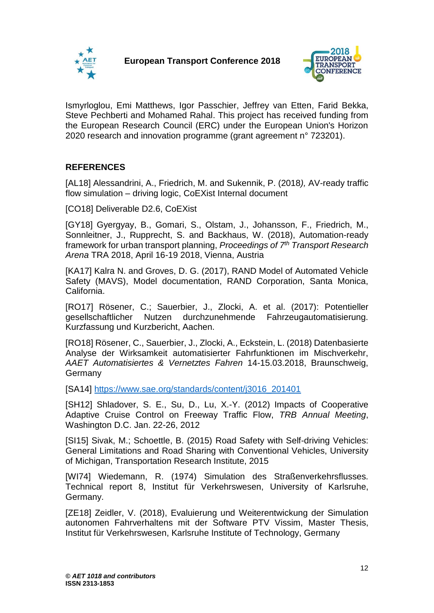



Ismyrloglou, Emi Matthews, Igor Passchier, Jeffrey van Etten, Farid Bekka, Steve Pechberti and Mohamed Rahal. This project has received funding from the European Research Council (ERC) under the European Union's Horizon 2020 research and innovation programme (grant agreement n° 723201).

# **REFERENCES**

[AL18] Alessandrini, A., Friedrich, M. and Sukennik, P. (2018*),* AV-ready traffic flow simulation – driving logic, CoEXist Internal document

[CO18] Deliverable D2.6, CoEXist

[GY18] Gyergyay, B., Gomari, S., Olstam, J., Johansson, F., Friedrich, M., Sonnleitner, J., Rupprecht, S. and Backhaus, W. (2018), Automation-ready framework for urban transport planning, *Proceedings of 7th Transport Research Arena* TRA 2018, April 16-19 2018, Vienna, Austria

[KA17] Kalra N. and Groves, D. G. (2017), RAND Model of Automated Vehicle Safety (MAVS), Model documentation, RAND Corporation, Santa Monica, California.

[RO17] Rösener, C.; Sauerbier, J., Zlocki, A. et al. (2017): Potentieller gesellschaftlicher Nutzen durchzunehmende Fahrzeugautomatisierung. Kurzfassung und Kurzbericht, Aachen.

[RO18] Rösener, C., Sauerbier, J., Zlocki, A., Eckstein, L. (2018) Datenbasierte Analyse der Wirksamkeit automatisierter Fahrfunktionen im Mischverkehr, *AAET Automatisiertes & Vernetztes Fahren* 14-15.03.2018, Braunschweig, **Germany** 

[SA14] [https://www.sae.org/standards/content/j3016\\_201401](https://www.sae.org/standards/content/j3016_201401)

[SH12] Shladover, S. E., Su, D., Lu, X.-Y. (2012) Impacts of Cooperative Adaptive Cruise Control on Freeway Traffic Flow, *TRB Annual Meeting*, Washington D.C. Jan. 22-26, 2012

[SI15] Sivak, M.; Schoettle, B. (2015) Road Safety with Self-driving Vehicles: General Limitations and Road Sharing with Conventional Vehicles, University of Michigan, Transportation Research Institute, 2015

[WI74] Wiedemann, R. (1974) Simulation des Straßenverkehrsflusses. Technical report 8, Institut für Verkehrswesen, University of Karlsruhe, Germany.

[ZE18] Zeidler, V. (2018), Evaluierung und Weiterentwickung der Simulation autonomen Fahrverhaltens mit der Software PTV Vissim, Master Thesis, Institut für Verkehrswesen, Karlsruhe Institute of Technology, Germany